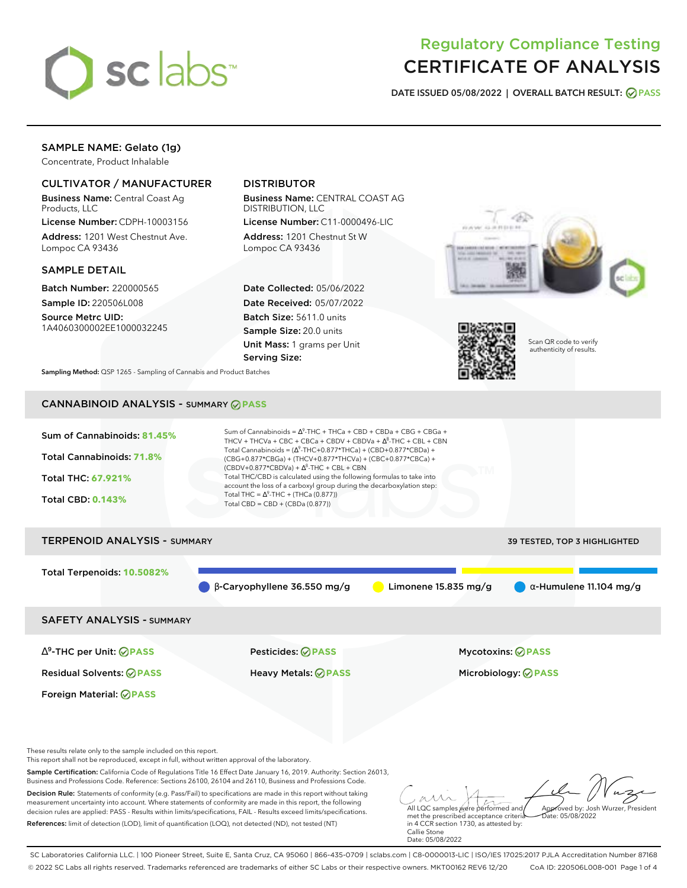

# Regulatory Compliance Testing CERTIFICATE OF ANALYSIS

**DATE ISSUED 05/08/2022 | OVERALL BATCH RESULT: PASS**

## SAMPLE NAME: Gelato (1g)

Concentrate, Product Inhalable

## CULTIVATOR / MANUFACTURER

Business Name: Central Coast Ag Products, LLC

License Number: CDPH-10003156 Address: 1201 West Chestnut Ave. Lompoc CA 93436

#### SAMPLE DETAIL

Batch Number: 220000565 Sample ID: 220506L008

Source Metrc UID: 1A4060300002EE1000032245

## DISTRIBUTOR

Business Name: CENTRAL COAST AG DISTRIBUTION, LLC License Number: C11-0000496-LIC

Address: 1201 Chestnut St W Lompoc CA 93436

Date Collected: 05/06/2022 Date Received: 05/07/2022 Batch Size: 5611.0 units Sample Size: 20.0 units Unit Mass: 1 grams per Unit Serving Size:





Scan QR code to verify authenticity of results.

**Sampling Method:** QSP 1265 - Sampling of Cannabis and Product Batches

# CANNABINOID ANALYSIS - SUMMARY **PASS**



This report shall not be reproduced, except in full, without written approval of the laboratory.

Sample Certification: California Code of Regulations Title 16 Effect Date January 16, 2019. Authority: Section 26013, Business and Professions Code. Reference: Sections 26100, 26104 and 26110, Business and Professions Code.

Decision Rule: Statements of conformity (e.g. Pass/Fail) to specifications are made in this report without taking measurement uncertainty into account. Where statements of conformity are made in this report, the following decision rules are applied: PASS - Results within limits/specifications, FAIL - Results exceed limits/specifications. References: limit of detection (LOD), limit of quantification (LOQ), not detected (ND), not tested (NT)

All LQC samples were performed and met the prescribed acceptance criteria Approved by: Josh Wurzer, President  $ate: 05/08/2022$ 

in 4 CCR section 1730, as attested by: Callie Stone Date: 05/08/2022

SC Laboratories California LLC. | 100 Pioneer Street, Suite E, Santa Cruz, CA 95060 | 866-435-0709 | sclabs.com | C8-0000013-LIC | ISO/IES 17025:2017 PJLA Accreditation Number 87168 © 2022 SC Labs all rights reserved. Trademarks referenced are trademarks of either SC Labs or their respective owners. MKT00162 REV6 12/20 CoA ID: 220506L008-001 Page 1 of 4